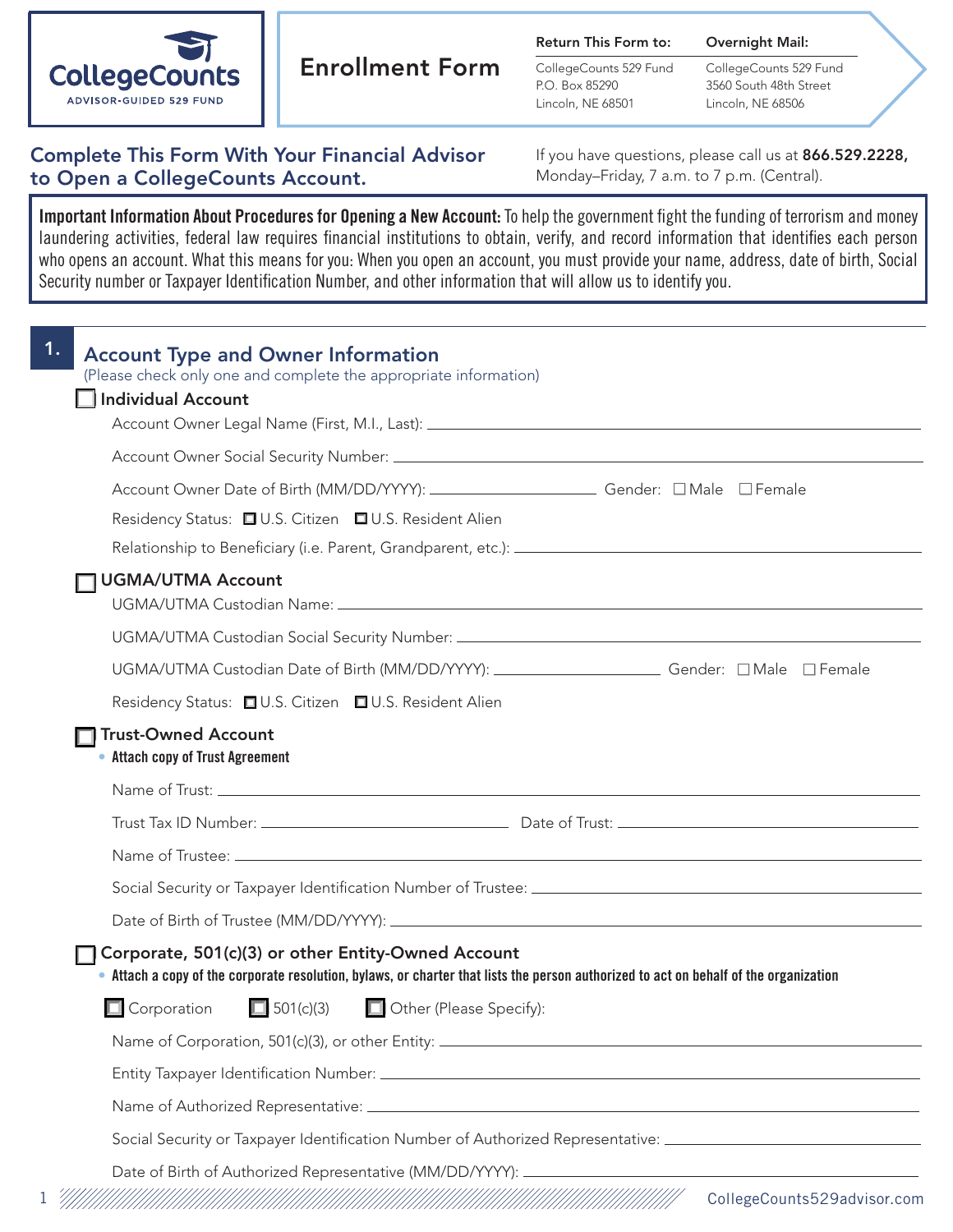

# Enrollment Form

Return This Form to:

CollegeCounts 529 Fund P.O. Box 85290 Lincoln, NE 68501

CollegeCounts 529 Fund 3560 South 48th Street Lincoln, NE 68506

Overnight Mail:

# Complete This Form With Your Financial Advisor to Open a CollegeCounts Account.

If you have questions, please call us at 866.529.2228, Monday–Friday, 7 a.m. to 7 p.m. (Central).

Important Information About Procedures for Opening a New Account: To help the government fight the funding of terrorism and money laundering activities, federal law requires financial institutions to obtain, verify, and record information that identifies each person who opens an account. What this means for you: When you open an account, you must provide your name, address, date of birth, Social Security number or Taxpayer Identification Number, and other information that will allow us to identify you.

| <b>Account Type and Owner Information</b><br>(Please check only one and complete the appropriate information)                                                                               |
|---------------------------------------------------------------------------------------------------------------------------------------------------------------------------------------------|
| Individual Account                                                                                                                                                                          |
| Account Owner Legal Name (First, M.I., Last): 1988. Account 000 Marshall Account 000 Marshall Account 000 Mars                                                                              |
|                                                                                                                                                                                             |
| Account Owner Date of Birth (MM/DD/YYYY): _______________________Gender: □ Male □ Female                                                                                                    |
| Residency Status: □ U.S. Citizen □ U.S. Resident Alien                                                                                                                                      |
|                                                                                                                                                                                             |
| <b>UGMA/UTMA Account</b>                                                                                                                                                                    |
|                                                                                                                                                                                             |
| UGMA/UTMA Custodian Date of Birth (MM/DD/YYYY): _______________________Gender: □ Male □ Female                                                                                              |
| Residency Status: □ U.S. Citizen □ U.S. Resident Alien                                                                                                                                      |
| <b>Trust-Owned Account</b><br>• Attach copy of Trust Agreement                                                                                                                              |
|                                                                                                                                                                                             |
|                                                                                                                                                                                             |
|                                                                                                                                                                                             |
|                                                                                                                                                                                             |
|                                                                                                                                                                                             |
| Corporate, 501(c)(3) or other Entity-Owned Account<br>• Attach a copy of the corporate resolution, bylaws, or charter that lists the person authorized to act on behalf of the organization |
| $\Box$ 501(c)(3)<br>Other (Please Specify):<br>$\Box$ Corporation                                                                                                                           |
|                                                                                                                                                                                             |
|                                                                                                                                                                                             |
|                                                                                                                                                                                             |
| Social Security or Taxpayer Identification Number of Authorized Representative: ______________________________                                                                              |
|                                                                                                                                                                                             |
| CollegeCounts529advisor.com                                                                                                                                                                 |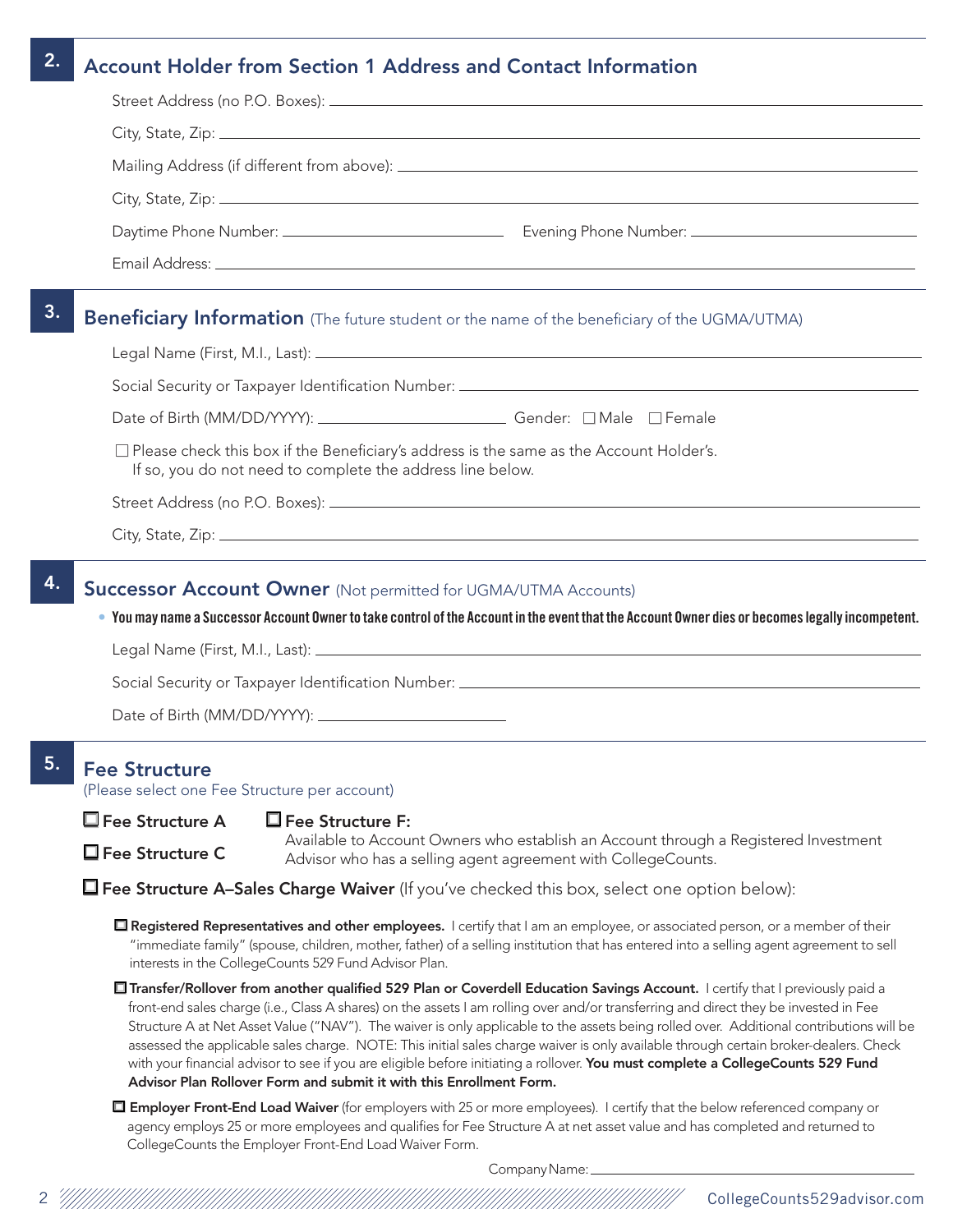## 2. Account Holder from Section 1 Address and Contact Information

| Date of Birth (MM/DD/YYYY): _____________________________Gender: □ Male □ Female                                                                             |                                                                                                     |
|--------------------------------------------------------------------------------------------------------------------------------------------------------------|-----------------------------------------------------------------------------------------------------|
| $\Box$ Please check this box if the Beneficiary's address is the same as the Account Holder's.<br>If so, you do not need to complete the address line below. |                                                                                                     |
|                                                                                                                                                              | <b>Beneficiary Information</b> (The future student or the name of the beneficiary of the UGMA/UTMA) |
|                                                                                                                                                              |                                                                                                     |

### **Successor Account Owner** (Not permitted for UGMA/UTMA Accounts)

• You may name a Successor Account Owner to take control of the Account in the event that the Account Owner dies or becomes legally incompetent.

Legal Name (First, M.I., Last):

Social Security or Taxpayer Identification Number: \_\_\_\_\_\_\_\_\_\_\_\_\_\_\_\_\_\_\_\_\_\_\_\_\_\_\_\_\_\_

Date of Birth (MM/DD/YYYY): \_

## 5. Fee Structure

(Please select one Fee Structure per account)

 $\square$  Fee Structure A

Fee Structure C

Fee Structure F:

Available to Account Owners who establish an Account through a Registered Investment Advisor who has a selling agent agreement with CollegeCounts.

 $\Box$  Fee Structure A–Sales Charge Waiver (If you've checked this box, select one option below):

**□ Registered Representatives and other employees.** I certify that I am an employee, or associated person, or a member of their "immediate family" (spouse, children, mother, father) of a selling institution that has entered into a selling agent agreement to sell interests in the CollegeCounts 529 Fund Advisor Plan.

■ Transfer/Rollover from another qualified 529 Plan or Coverdell Education Savings Account. I certify that I previously paid a front-end sales charge (i.e., Class A shares) on the assets I am rolling over and/or transferring and direct they be invested in Fee Structure A at Net Asset Value ("NAV"). The waiver is only applicable to the assets being rolled over. Additional contributions will be assessed the applicable sales charge. NOTE: This initial sales charge waiver is only available through certain broker-dealers. Check with your financial advisor to see if you are eligible before initiating a rollover. You must complete a CollegeCounts 529 Fund Advisor Plan Rollover Form and submit it with this Enrollment Form.

Employer Front-End Load Waiver (for employers with 25 or more employees). I certify that the below referenced company or agency employs 25 or more employees and qualifies for Fee Structure A at net asset value and has completed and returned to CollegeCounts the Employer Front-End Load Waiver Form.

Company Name: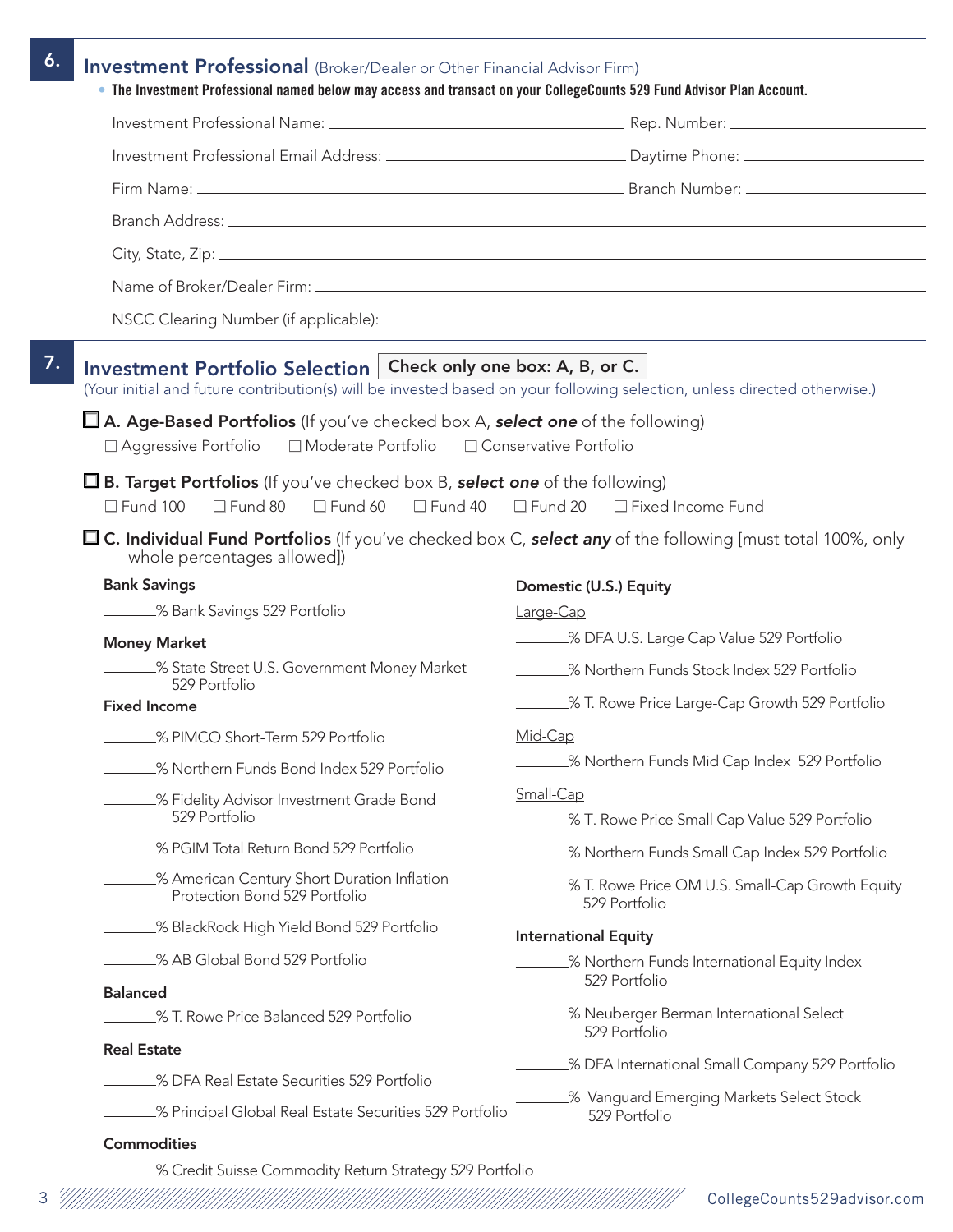| Investment Portfolio Selection   Check only one box: A, B, or C.<br>(Your initial and future contribution(s) will be invested based on your following selection, unless directed otherwise.) |                                                                                               |
|----------------------------------------------------------------------------------------------------------------------------------------------------------------------------------------------|-----------------------------------------------------------------------------------------------|
| $\Box$ A. Age-Based Portfolios (If you've checked box A, select one of the following)                                                                                                        |                                                                                               |
| □ Moderate Portfolio □ Conservative Portfolio<br>$\Box$ Aggressive Portfolio                                                                                                                 |                                                                                               |
| <b><math>\Box</math> B. Target Portfolios</b> (If you've checked box B, <b>select one</b> of the following)                                                                                  |                                                                                               |
| $\Box$ Fund 100<br>$\Box$ Fund 80 $\Box$ Fund 60 $\Box$ Fund 40 $\Box$ Fund 20 $\Box$ Fixed Income Fund                                                                                      |                                                                                               |
| $\Box$ C. Individual Fund Portfolios (If you've checked box C, select any of the following [must total 100%, only<br>whole percentages allowed])                                             |                                                                                               |
| <b>Bank Savings</b>                                                                                                                                                                          | Domestic (U.S.) Equity                                                                        |
| 8 Bank Savings 529 Portfolio                                                                                                                                                                 | Large-Cap                                                                                     |
| <b>Money Market</b>                                                                                                                                                                          | _______% DFA U.S. Large Cap Value 529 Portfolio                                               |
| State Street U.S. Government Money Market<br>529 Portfolio                                                                                                                                   | ______% Northern Funds Stock Index 529 Portfolio                                              |
| <b>Fixed Income</b>                                                                                                                                                                          | ________% T. Rowe Price Large-Cap Growth 529 Portfolio                                        |
| _% PIMCO Short-Term 529 Portfolio                                                                                                                                                            | Mid-Cap                                                                                       |
| _% Northern Funds Bond Index 529 Portfolio                                                                                                                                                   | _% Northern Funds Mid Cap Index 529 Portfolio                                                 |
| _% Fidelity Advisor Investment Grade Bond<br>529 Portfolio                                                                                                                                   | Small-Cap<br>_% T. Rowe Price Small Cap Value 529 Portfolio                                   |
| _% PGIM Total Return Bond 529 Portfolio                                                                                                                                                      | % Northern Funds Small Cap Index 529 Portfolio                                                |
| % American Century Short Duration Inflation<br>Protection Bond 529 Portfolio                                                                                                                 | _% T. Rowe Price QM U.S. Small-Cap Growth Equity<br>529 Portfolio                             |
| _% BlackRock High Yield Bond 529 Portfolio                                                                                                                                                   | <b>International Equity</b>                                                                   |
| _% AB Global Bond 529 Portfolio                                                                                                                                                              | % Northern Funds International Equity Index                                                   |
| <b>Balanced</b>                                                                                                                                                                              | 529 Portfolio                                                                                 |
| .% T. Rowe Price Balanced 529 Portfolio                                                                                                                                                      | _% Neuberger Berman International Select<br>529 Portfolio                                     |
|                                                                                                                                                                                              |                                                                                               |
| <b>Real Estate</b>                                                                                                                                                                           |                                                                                               |
| _% DFA Real Estate Securities 529 Portfolio                                                                                                                                                  | _% DFA International Small Company 529 Portfolio<br>_% Vanguard Emerging Markets Select Stock |

3 CollegeCounts529advisor.com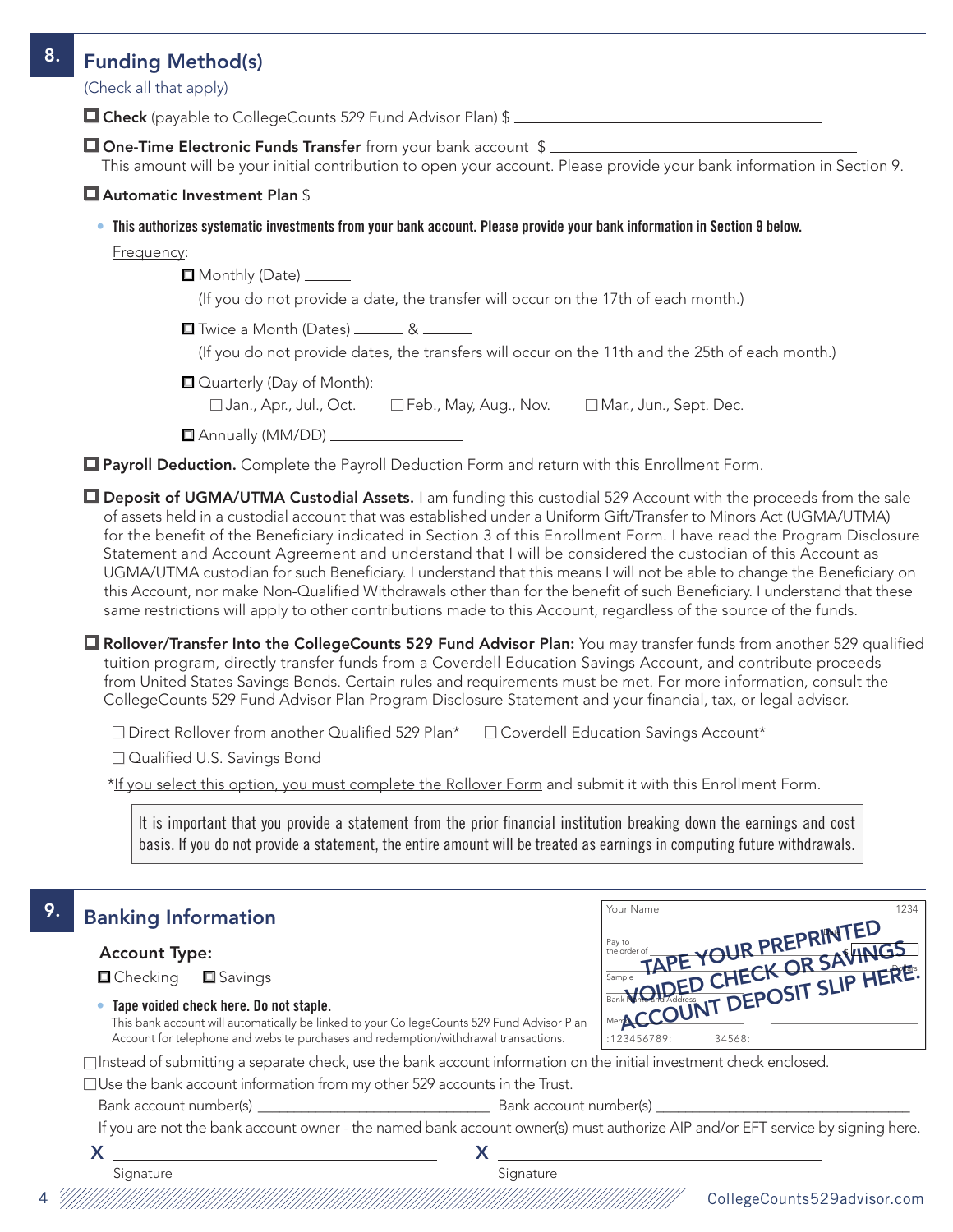| <b>Funding Method(s)</b>                                                                                                                                                                                                                                                                                                                                                                                                                                                                                                                                                                                                                                                                                                                                                                                                                                      |
|---------------------------------------------------------------------------------------------------------------------------------------------------------------------------------------------------------------------------------------------------------------------------------------------------------------------------------------------------------------------------------------------------------------------------------------------------------------------------------------------------------------------------------------------------------------------------------------------------------------------------------------------------------------------------------------------------------------------------------------------------------------------------------------------------------------------------------------------------------------|
| (Check all that apply)                                                                                                                                                                                                                                                                                                                                                                                                                                                                                                                                                                                                                                                                                                                                                                                                                                        |
| □ Check (payable to CollegeCounts 529 Fund Advisor Plan) \$                                                                                                                                                                                                                                                                                                                                                                                                                                                                                                                                                                                                                                                                                                                                                                                                   |
| □ One-Time Electronic Funds Transfer from your bank account \$<br>This amount will be your initial contribution to open your account. Please provide your bank information in Section 9.                                                                                                                                                                                                                                                                                                                                                                                                                                                                                                                                                                                                                                                                      |
| Automatic Investment Plan \$                                                                                                                                                                                                                                                                                                                                                                                                                                                                                                                                                                                                                                                                                                                                                                                                                                  |
| . This authorizes systematic investments from your bank account. Please provide your bank information in Section 9 below.                                                                                                                                                                                                                                                                                                                                                                                                                                                                                                                                                                                                                                                                                                                                     |
| Frequency:                                                                                                                                                                                                                                                                                                                                                                                                                                                                                                                                                                                                                                                                                                                                                                                                                                                    |
| Monthly (Date) ______                                                                                                                                                                                                                                                                                                                                                                                                                                                                                                                                                                                                                                                                                                                                                                                                                                         |
| (If you do not provide a date, the transfer will occur on the 17th of each month.)                                                                                                                                                                                                                                                                                                                                                                                                                                                                                                                                                                                                                                                                                                                                                                            |
| Twice a Month (Dates) _______ & ______                                                                                                                                                                                                                                                                                                                                                                                                                                                                                                                                                                                                                                                                                                                                                                                                                        |
| (If you do not provide dates, the transfers will occur on the 11th and the 25th of each month.)                                                                                                                                                                                                                                                                                                                                                                                                                                                                                                                                                                                                                                                                                                                                                               |
| □ Quarterly (Day of Month): <u>________</u>                                                                                                                                                                                                                                                                                                                                                                                                                                                                                                                                                                                                                                                                                                                                                                                                                   |
| □ Jan., Apr., Jul., Oct. □ Feb., May, Aug., Nov. □ Mar., Jun., Sept. Dec.                                                                                                                                                                                                                                                                                                                                                                                                                                                                                                                                                                                                                                                                                                                                                                                     |
| Annually (MM/DD) ________________                                                                                                                                                                                                                                                                                                                                                                                                                                                                                                                                                                                                                                                                                                                                                                                                                             |
| Payroll Deduction. Complete the Payroll Deduction Form and return with this Enrollment Form.                                                                                                                                                                                                                                                                                                                                                                                                                                                                                                                                                                                                                                                                                                                                                                  |
| <b>O Deposit of UGMA/UTMA Custodial Assets.</b> I am funding this custodial 529 Account with the proceeds from the sale<br>of assets held in a custodial account that was established under a Uniform Gift/Transfer to Minors Act (UGMA/UTMA)<br>for the benefit of the Beneficiary indicated in Section 3 of this Enrollment Form. I have read the Program Disclosure<br>Statement and Account Agreement and understand that I will be considered the custodian of this Account as<br>UGMA/UTMA custodian for such Beneficiary. I understand that this means I will not be able to change the Beneficiary on<br>this Account, nor make Non-Qualified Withdrawals other than for the benefit of such Beneficiary. I understand that these<br>same restrictions will apply to other contributions made to this Account, regardless of the source of the funds. |
| <b>Q</b> Rollover/Transfer Into the CollegeCounts 529 Fund Advisor Plan: You may transfer funds from another 529 qualified<br>tuition program, directly transfer funds from a Coverdell Education Savings Account, and contribute proceeds<br>from United States Savings Bonds. Certain rules and requirements must be met. For more information, consult the<br>CollegeCounts 529 Fund Advisor Plan Program Disclosure Statement and your financial, tax, or legal advisor.                                                                                                                                                                                                                                                                                                                                                                                  |
| □ Direct Rollover from another Qualified 529 Plan* □ Coverdell Education Savings Account*<br>□ Qualified U.S. Savings Bond                                                                                                                                                                                                                                                                                                                                                                                                                                                                                                                                                                                                                                                                                                                                    |
| *If you select this option, you must complete the Rollover Form and submit it with this Enrollment Form.                                                                                                                                                                                                                                                                                                                                                                                                                                                                                                                                                                                                                                                                                                                                                      |
|                                                                                                                                                                                                                                                                                                                                                                                                                                                                                                                                                                                                                                                                                                                                                                                                                                                               |

| 9. | <b>Banking Information</b>                                                                                                                                                                                                                                                                                | Your Name<br>1234           |
|----|-----------------------------------------------------------------------------------------------------------------------------------------------------------------------------------------------------------------------------------------------------------------------------------------------------------|-----------------------------|
|    | <b>Account Type:</b><br>$\blacksquare$ Checking<br><b>□</b> Savings<br>• Tape voided check here. Do not staple.                                                                                                                                                                                           | TAPE YOUR PREPRINTED        |
|    | This bank account will automatically be linked to your CollegeCounts 529 Fund Advisor Plan<br>Account for telephone and website purchases and redemption/withdrawal transactions.<br>□ Instead of submitting a separate check, use the bank account information on the initial investment check enclosed. | :123456789:<br>34568:       |
|    | $\Box$ Use the bank account information from my other 529 accounts in the Trust.                                                                                                                                                                                                                          |                             |
|    | Bank account number(s) and some and some state of the Bank account number(s)<br>If you are not the bank account owner - the named bank account owner(s) must authorize AIP and/or EFT service by signing here.                                                                                            |                             |
|    | v                                                                                                                                                                                                                                                                                                         |                             |
|    | Signature<br>Signature                                                                                                                                                                                                                                                                                    | CollegeCounts529advisor.com |

basis. If you do not provide a statement, the entire amount will be treated as earnings in computing future withdrawals.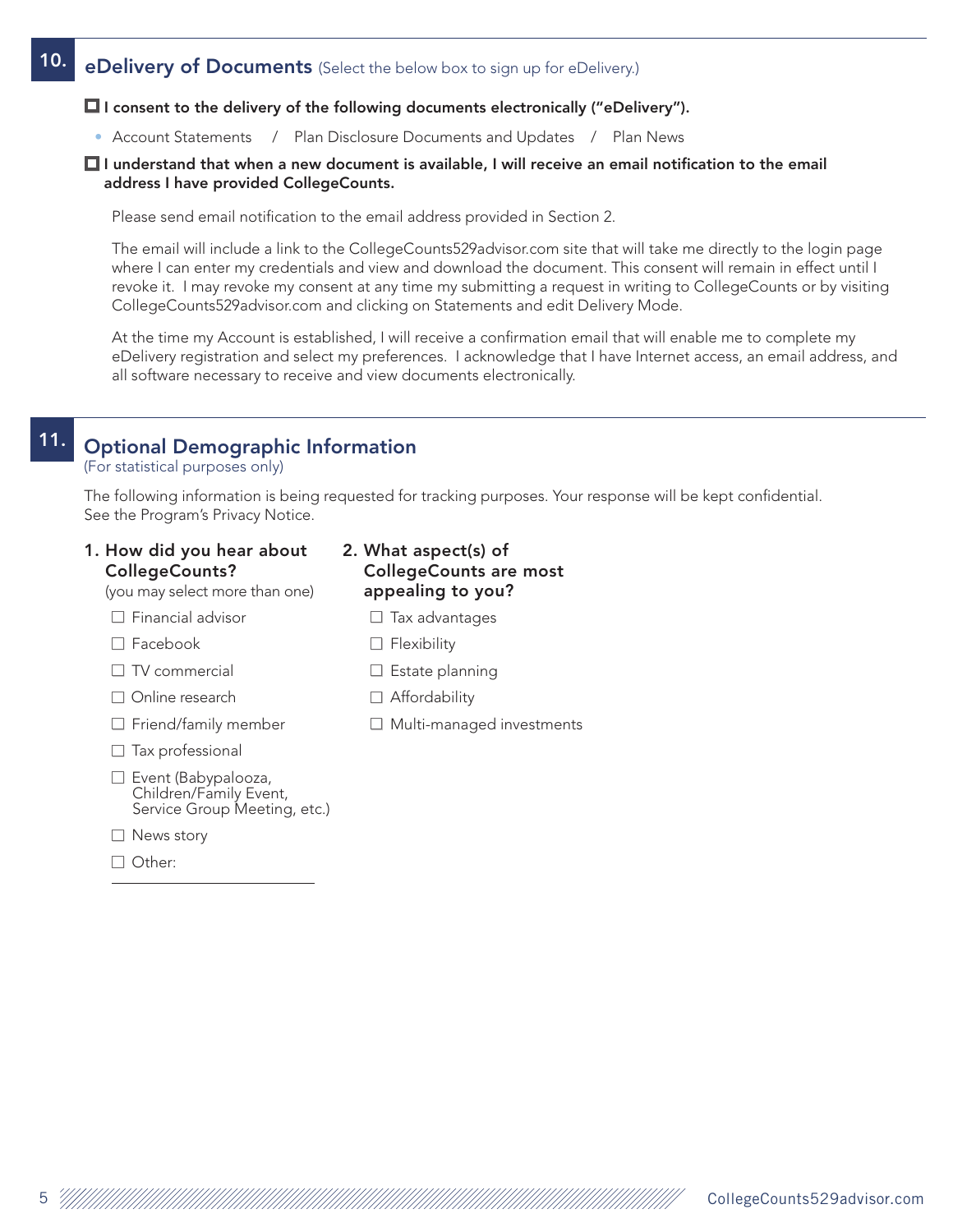# 10. eDelivery of Documents (Select the below box to sign up for eDelivery.)

### $\Box$  I consent to the delivery of the following documents electronically ("eDelivery").

• Account Statements / Plan Disclosure Documents and Updates / Plan News

#### $\Box$  I understand that when a new document is available, I will receive an email notification to the email address I have provided CollegeCounts.

Please send email notification to the email address provided in Section 2.

The email will include a link to the CollegeCounts529advisor.com site that will take me directly to the login page where I can enter my credentials and view and download the document. This consent will remain in effect until I revoke it. I may revoke my consent at any time my submitting a request in writing to CollegeCounts or by visiting CollegeCounts529advisor.com and clicking on Statements and edit Delivery Mode.

At the time my Account is established, I will receive a confirmation email that will enable me to complete my eDelivery registration and select my preferences. I acknowledge that I have Internet access, an email address, and all software necessary to receive and view documents electronically.

# 11. Optional Demographic Information

(For statistical purposes only)

The following information is being requested for tracking purposes. Your response will be kept confidential. See the Program's Privacy Notice.

|                       |  | 1. How did you hear about |
|-----------------------|--|---------------------------|
| <b>CollegeCounts?</b> |  |                           |

## (you may select more than one)

 $\Box$  Financial advisor

□ Facebook

- $\Box$  TV commercial
- □ Online research
- $\Box$  Friend/family member
- $\Box$  Tax professional
- □ Event (Babypalooza, Children/Family Event, Service Group Meeting, etc.)
- □ News story
- □ Other:
- 2. What aspect(s) of CollegeCounts are most appealing to you?
	- $\Box$  Tax advantages
	- $\Box$  Flexibility
	- $\Box$  Estate planning
	- $\Box$  Affordability
	- $\Box$  Multi-managed investments